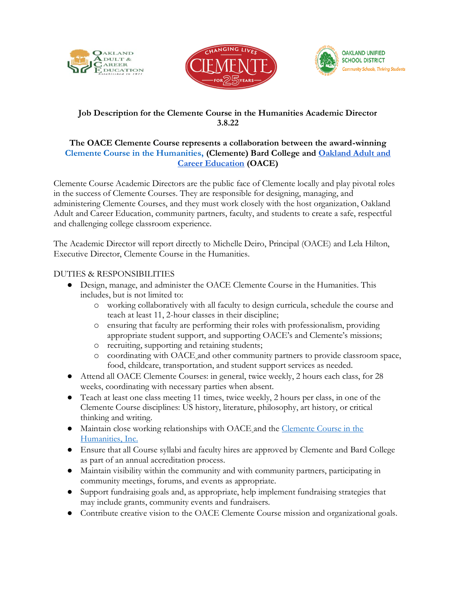





## **Job Description for the Clemente Course in the Humanities Academic Director 3.8.22**

## **The OACE Clemente Course represents a collaboration between the award-winning Clemente Course in the Humanities, (Clemente) Bard College and Oakland Adult and Career Education (OACE)**

Clemente Course Academic Directors are the public face of Clemente locally and play pivotal roles in the success of Clemente Courses. They are responsible for designing, managing, and administering Clemente Courses, and they must work closely with the host organization, Oakland Adult and Career Education, community partners, faculty, and students to create a safe, respectful and challenging college classroom experience.

The Academic Director will report directly to Michelle Deiro, Principal (OACE) and Lela Hilton, Executive Director, Clemente Course in the Humanities.

## DUTIES & RESPONSIBILITIES

- Design, manage, and administer the OACE Clemente Course in the Humanities. This includes, but is not limited to:
	- o working collaboratively with all faculty to design curricula, schedule the course and teach at least 11, 2-hour classes in their discipline;
	- o ensuring that faculty are performing their roles with professionalism, providing appropriate student support, and supporting OACE's and Clemente's missions;
	- o recruiting, supporting and retaining students;
	- o coordinating with OACE and other community partners to provide classroom space, food, childcare, transportation, and student support services as needed.
- Attend all OACE Clemente Courses: in general, twice weekly, 2 hours each class, for 28 weeks, coordinating with necessary parties when absent.
- Teach at least one class meeting 11 times, twice weekly, 2 hours per class, in one of the Clemente Course disciplines: US history, literature, philosophy, art history, or critical thinking and writing.
- Maintain close working relationships with OACE and the Clemente Course in the Humanities, Inc.
- Ensure that all Course syllabi and faculty hires are approved by Clemente and Bard College as part of an annual accreditation process.
- Maintain visibility within the community and with community partners, participating in community meetings, forums, and events as appropriate.
- Support fundraising goals and, as appropriate, help implement fundraising strategies that may include grants, community events and fundraisers.
- Contribute creative vision to the OACE Clemente Course mission and organizational goals.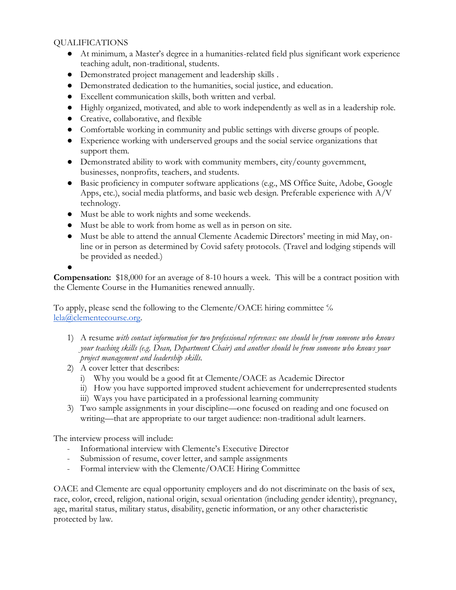## QUALIFICATIONS

- At minimum, a Master's degree in a humanities-related field plus significant work experience teaching adult, non-traditional, students.
- Demonstrated project management and leadership skills .
- Demonstrated dedication to the humanities, social justice, and education.
- Excellent communication skills, both written and verbal.
- Highly organized, motivated, and able to work independently as well as in a leadership role.
- Creative, collaborative, and flexible
- Comfortable working in community and public settings with diverse groups of people.
- Experience working with underserved groups and the social service organizations that support them.
- Demonstrated ability to work with community members, city/county government, businesses, nonprofits, teachers, and students.
- Basic proficiency in computer software applications (e.g., MS Office Suite, Adobe, Google Apps, etc.), social media platforms, and basic web design. Preferable experience with  $A/V$ technology.
- Must be able to work nights and some weekends.
- Must be able to work from home as well as in person on site.
- Must be able to attend the annual Clemente Academic Directors' meeting in mid May, online or in person as determined by Covid safety protocols. (Travel and lodging stipends will be provided as needed.)

●

**Compensation:** \$18,000 for an average of 8-10 hours a week. This will be a contract position with the Clemente Course in the Humanities renewed annually.

To apply, please send the following to the Clemente/OACE hiring committee  $\%$ lela@clementecourse.org.

- 1) A resume *with contact information for two professional references: one should be from someone who knows your teaching skills (e.g. Dean, Department Chair) and another should be from someone who knows your project management and leadership skills.*
- 2) A cover letter that describes:
	- i) Why you would be a good fit at Clemente/OACE as Academic Director
	- ii) How you have supported improved student achievement for underrepresented students
	- iii) Ways you have participated in a professional learning community
- 3) Two sample assignments in your discipline—one focused on reading and one focused on writing—that are appropriate to our target audience: non-traditional adult learners.

The interview process will include:

- Informational interview with Clemente's Executive Director
- Submission of resume, cover letter, and sample assignments
- Formal interview with the Clemente/OACE Hiring Committee

OACE and Clemente are equal opportunity employers and do not discriminate on the basis of sex, race, color, creed, religion, national origin, sexual orientation (including gender identity), pregnancy, age, marital status, military status, disability, genetic information, or any other characteristic protected by law.